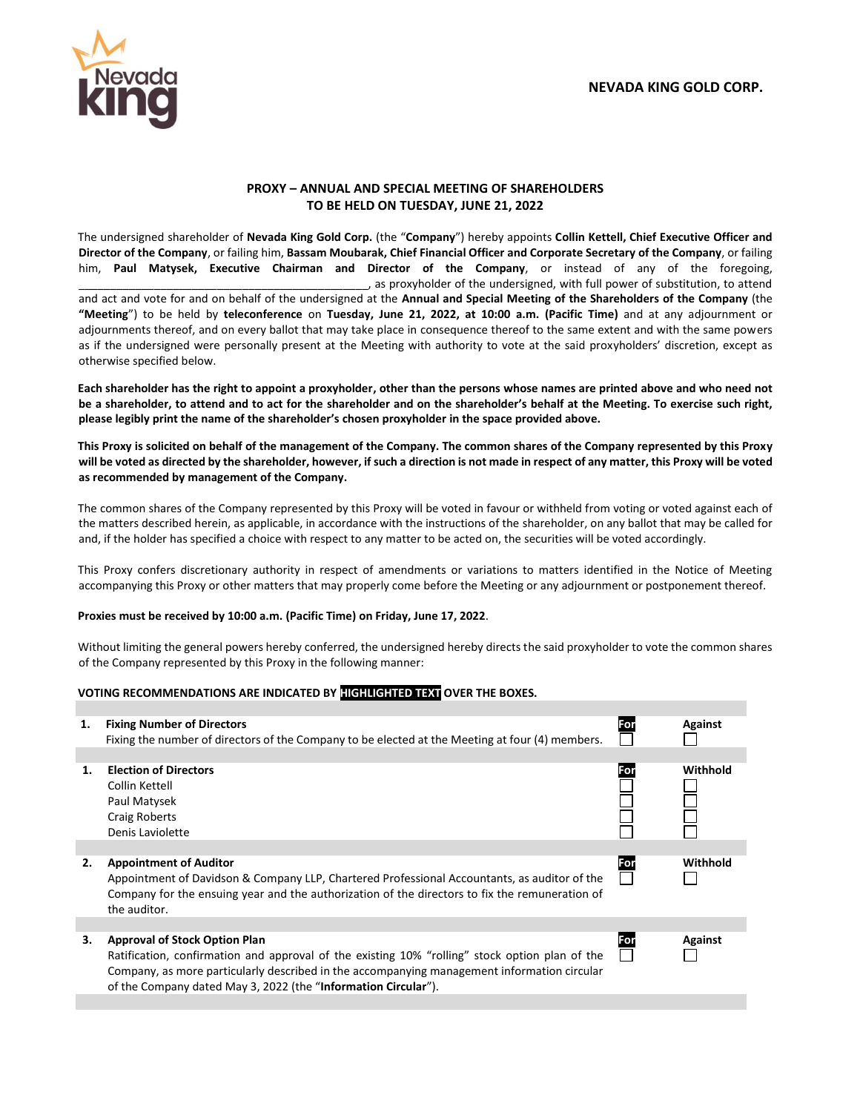

## **PROXY – ANNUAL AND SPECIAL MEETING OF SHAREHOLDERS TO BE HELD ON TUESDAY, JUNE 21, 2022**

The undersigned shareholder of **Nevada King Gold Corp.** (the "**Company**") hereby appoints **Collin Kettell, Chief Executive Officer and Director of the Company**, or failing him, **Bassam Moubarak, Chief Financial Officer and Corporate Secretary of the Company**, or failing him, **Paul Matysek, Executive Chairman and Director of the Company**, or instead of any of the foregoing, \_\_\_\_\_\_\_\_\_\_\_\_\_\_\_\_\_\_\_\_\_\_\_\_\_\_\_\_\_\_\_\_\_\_\_\_\_\_\_\_\_\_\_\_\_\_, as proxyholder of the undersigned, with full power of substitution, to attend

and act and vote for and on behalf of the undersigned at the **Annual and Special Meeting of the Shareholders of the Company** (the **"Meeting**") to be held by **teleconference** on **Tuesday, June 21, 2022, at 10:00 a.m. (Pacific Time)** and at any adjournment or adjournments thereof, and on every ballot that may take place in consequence thereof to the same extent and with the same powers as if the undersigned were personally present at the Meeting with authority to vote at the said proxyholders' discretion, except as otherwise specified below.

**Each shareholder has the right to appoint a proxyholder, other than the persons whose names are printed above and who need not be a shareholder, to attend and to act for the shareholder and on the shareholder's behalf at the Meeting. To exercise such right, please legibly print the name of the shareholder's chosen proxyholder in the space provided above.** 

**This Proxy is solicited on behalf of the management of the Company. The common shares of the Company represented by this Proxy will be voted as directed by the shareholder, however, if such a direction is not made in respect of any matter, this Proxy will be voted as recommended by management of the Company.**

The common shares of the Company represented by this Proxy will be voted in favour or withheld from voting or voted against each of the matters described herein, as applicable, in accordance with the instructions of the shareholder, on any ballot that may be called for and, if the holder has specified a choice with respect to any matter to be acted on, the securities will be voted accordingly.

This Proxy confers discretionary authority in respect of amendments or variations to matters identified in the Notice of Meeting accompanying this Proxy or other matters that may properly come before the Meeting or any adjournment or postponement thereof.

## **Proxies must be received by 10:00 a.m. (Pacific Time) on Friday, June 17, 2022**.

Without limiting the general powers hereby conferred, the undersigned hereby directs the said proxyholder to vote the common shares of the Company represented by this Proxy in the following manner:

## **VOTING RECOMMENDATIONS ARE INDICATED BY HIGHLIGHTED TEXT OVER THE BOXES.**

| 1. | <b>Fixing Number of Directors</b><br>Fixing the number of directors of the Company to be elected at the Meeting at four (4) members.                                                                                                                                                                    | For | <b>Against</b> |
|----|---------------------------------------------------------------------------------------------------------------------------------------------------------------------------------------------------------------------------------------------------------------------------------------------------------|-----|----------------|
|    |                                                                                                                                                                                                                                                                                                         |     |                |
| 1. | <b>Election of Directors</b><br>Collin Kettell<br>Paul Matysek<br><b>Craig Roberts</b><br>Denis Laviolette                                                                                                                                                                                              | For | Withhold       |
|    |                                                                                                                                                                                                                                                                                                         |     |                |
| 2. | <b>Appointment of Auditor</b><br>Appointment of Davidson & Company LLP, Chartered Professional Accountants, as auditor of the<br>Company for the ensuing year and the authorization of the directors to fix the remuneration of<br>the auditor.                                                         | For | Withhold       |
|    |                                                                                                                                                                                                                                                                                                         |     |                |
| З. | <b>Approval of Stock Option Plan</b><br>Ratification, confirmation and approval of the existing 10% "rolling" stock option plan of the<br>Company, as more particularly described in the accompanying management information circular<br>of the Company dated May 3, 2022 (the "Information Circular"). | For | Against        |